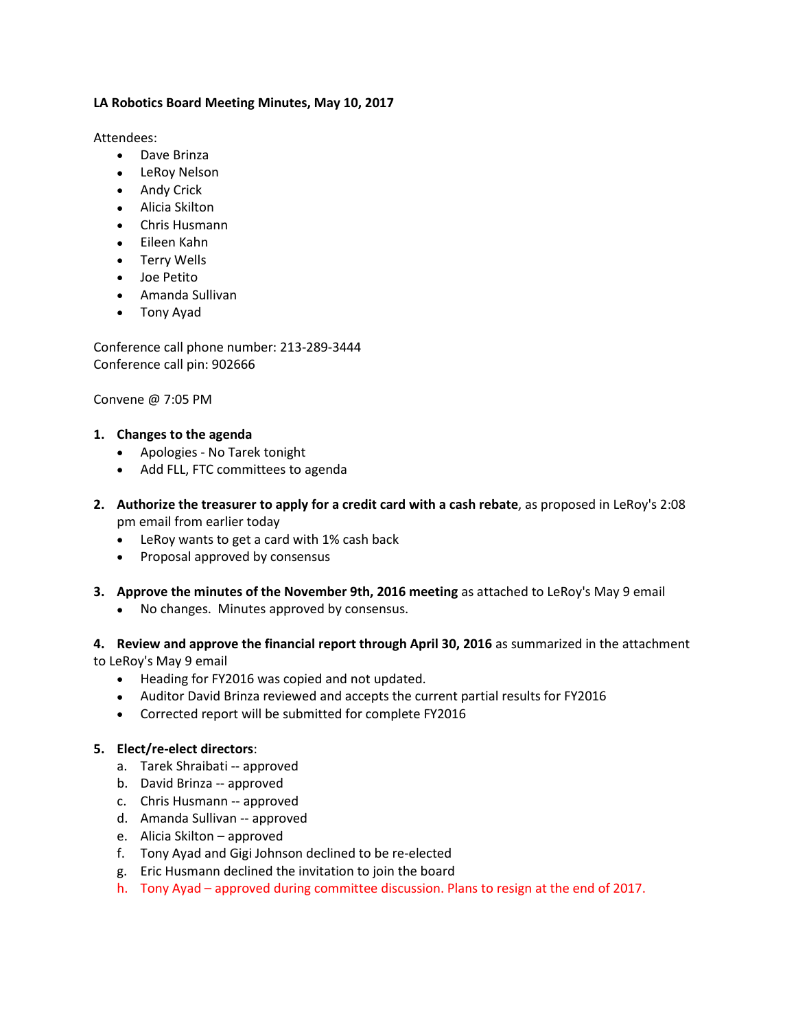## **LA Robotics Board Meeting Minutes, May 10, 2017**

Attendees:

- Dave Brinza
- LeRoy Nelson
- Andy Crick
- Alicia Skilton
- Chris Husmann
- Eileen Kahn
- Terry Wells
- Joe Petito
- Amanda Sullivan
- Tony Ayad

Conference call phone number: 213-289-3444 Conference call pin: 902666

Convene @ 7:05 PM

## **1. Changes to the agenda**

- Apologies No Tarek tonight
- Add FLL, FTC committees to agenda
- **2. Authorize the treasurer to apply for a credit card with a cash rebate**, as proposed in LeRoy's 2:08 pm email from earlier today
	- LeRoy wants to get a card with 1% cash back
	- Proposal approved by consensus
- **3. Approve the minutes of the November 9th, 2016 meeting** as attached to LeRoy's May 9 email
	- No changes. Minutes approved by consensus.

**4. Review and approve the financial report through April 30, 2016** as summarized in the attachment to LeRoy's May 9 email

- Heading for FY2016 was copied and not updated.
- Auditor David Brinza reviewed and accepts the current partial results for FY2016
- Corrected report will be submitted for complete FY2016

## **5. Elect/re-elect directors**:

- a. Tarek Shraibati -- approved
- b. David Brinza -- approved
- c. Chris Husmann -- approved
- d. Amanda Sullivan -- approved
- e. Alicia Skilton approved
- f. Tony Ayad and Gigi Johnson declined to be re-elected
- g. Eric Husmann declined the invitation to join the board
- h. Tony Ayad approved during committee discussion. Plans to resign at the end of 2017.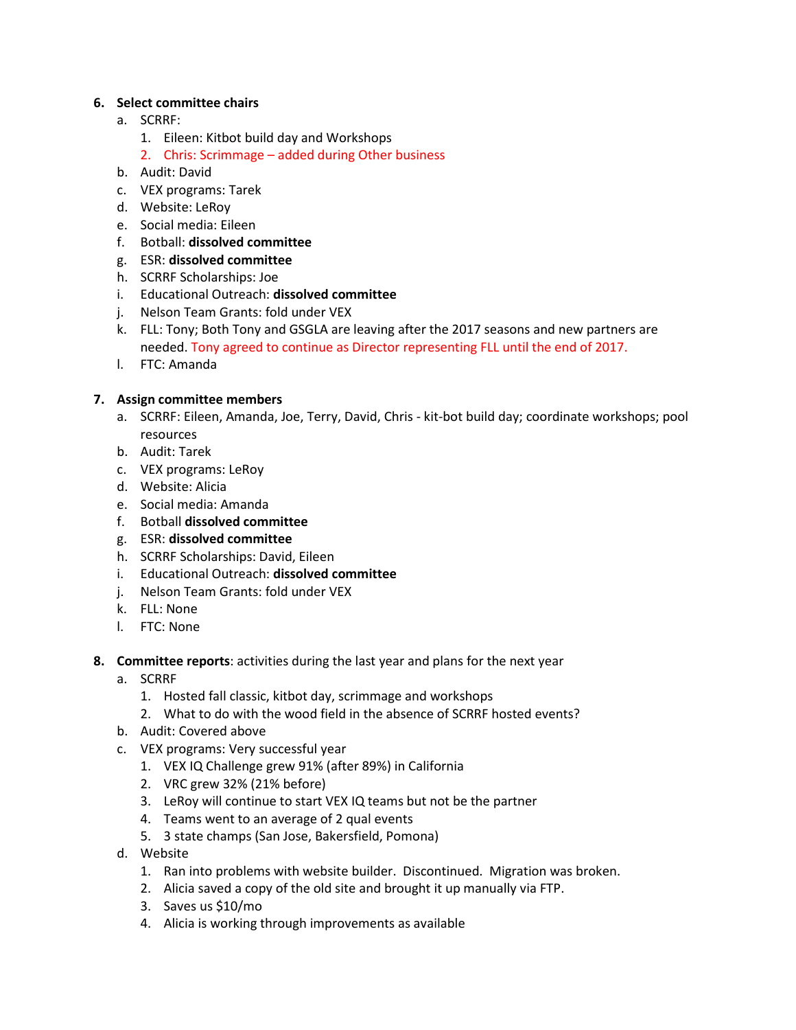## **6. Select committee chairs**

- a. SCRRF:
	- 1. Eileen: Kitbot build day and Workshops
	- 2. Chris: Scrimmage added during Other business
- b. Audit: David
- c. VEX programs: Tarek
- d. Website: LeRoy
- e. Social media: Eileen
- f. Botball: **dissolved committee**
- g. ESR: **dissolved committee**
- h. SCRRF Scholarships: Joe
- i. Educational Outreach: **dissolved committee**
- j. Nelson Team Grants: fold under VEX
- k. FLL: Tony; Both Tony and GSGLA are leaving after the 2017 seasons and new partners are needed. Tony agreed to continue as Director representing FLL until the end of 2017.
- l. FTC: Amanda

# **7. Assign committee members**

- a. SCRRF: Eileen, Amanda, Joe, Terry, David, Chris kit-bot build day; coordinate workshops; pool resources
- b. Audit: Tarek
- c. VEX programs: LeRoy
- d. Website: Alicia
- e. Social media: Amanda
- f. Botball **dissolved committee**
- g. ESR: **dissolved committee**
- h. SCRRF Scholarships: David, Eileen
- i. Educational Outreach: **dissolved committee**
- j. Nelson Team Grants: fold under VEX
- k. FLL: None
- l. FTC: None
- **8. Committee reports**: activities during the last year and plans for the next year
	- a. SCRRF
		- 1. Hosted fall classic, kitbot day, scrimmage and workshops
		- 2. What to do with the wood field in the absence of SCRRF hosted events?
	- b. Audit: Covered above
	- c. VEX programs: Very successful year
		- 1. VEX IQ Challenge grew 91% (after 89%) in California
		- 2. VRC grew 32% (21% before)
		- 3. LeRoy will continue to start VEX IQ teams but not be the partner
		- 4. Teams went to an average of 2 qual events
		- 5. 3 state champs (San Jose, Bakersfield, Pomona)
	- d. Website
		- 1. Ran into problems with website builder. Discontinued. Migration was broken.
		- 2. Alicia saved a copy of the old site and brought it up manually via FTP.
		- 3. Saves us \$10/mo
		- 4. Alicia is working through improvements as available